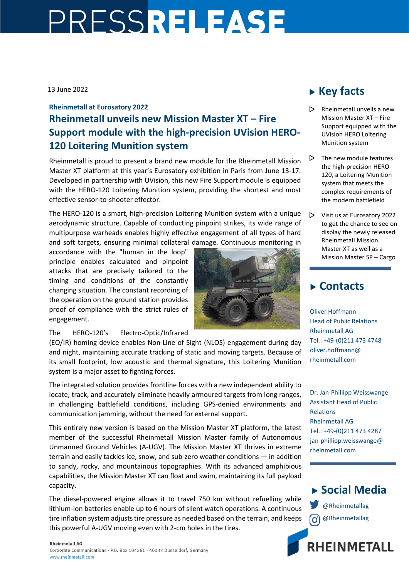# PRESSRELEASE

#### 13 June 2022

## **Rheinmetall at Eurosatory 2022 Rheinmetall unveils new Mission Master XT – Fire Support module with the high-precision UVision HERO-120 Loitering Munition system**

Rheinmetall is proud to present a brand new module for the Rheinmetall Mission Master XT platform at this year's Eurosatory exhibition in Paris from June 13-17. Developed in partnership with UVision, this new Fire Support module is equipped with the HERO-120 Loitering Munition system, providing the shortest and most effective sensor-to-shooter effector.

The HERO-120 is a smart, high-precision Loitering Munition system with a unique aerodynamic structure. Capable of conducting pinpoint strikes, its wide range of multipurpose warheads enables highly effective engagement of all types of hard and soft targets, ensuring minimal collateral damage. Continuous monitoring in

accordance with the "human in the loop" principle enables calculated and pinpoint attacks that are precisely tailored to the timing and conditions of the constantly changing situation. The constant recording of the operation on the ground station provides proof of compliance with the strict rules of engagement.



The HERO-120's Electro-Optic/Infrared

(EO/IR) homing device enables Non-Line of Sight (NLOS) engagement during day and night, maintaining accurate tracking of static and moving targets. Because of its small footprint, low acoustic and thermal signature, this Loitering Munition system is a major asset to fighting forces.

The integrated solution provides frontline forces with a new independent ability to locate, track, and accurately eliminate heavily armoured targets from long ranges, in challenging battlefield conditions, including GPS-denied environments and communication jamming, without the need for external support.

This entirely new version is based on the Mission Master XT platform, the latest member of the successful Rheinmetall Mission Master family of Autonomous Unmanned Ground Vehicles (A-UGV). The Mission Master XT thrives in extreme terrain and easily tackles ice, snow, and sub-zero weather conditions — in addition to sandy, rocky, and mountainous topographies. With its advanced amphibious capabilities, the Mission Master XT can float and swim, maintaining its full payload capacity.

The diesel-powered engine allows it to travel 750 km without refuelling while lithium-ion batteries enable up to 6 hours of silent watch operations. A continuous tire inflation system adjusts tire pressure as needed based on the terrain, and keeps this powerful A-UGV moving even with 2-cm holes in the tires.

## **Key facts**

- $\triangleright$  Rheinmetall unveils a new Mission Master XT – Fire Support equipped with the UVision HERO Loitering Munition system
- $\triangleright$  The new module features the high-precision HERO-120, a Loitering Munition system that meets the complex requirements of the modern battlefield
- $\triangleright$  Visit us at Eurosatory 2022 to get the chance to see on display the newly released Rheinmetall Mission Master XT as well as a Mission Master SP – Cargo

## **Contacts**

Oliver Hoffmann Head of Public Relations Rheinmetall AG Tel.: +49-(0)211 473 4748 oliver.hoffmann@ rheinmetall.com

Dr. Jan-Phillipp Weisswange Assistant Head of Public Relations Rheinmetall AG Tel.: +49-(0)211 473 4287 jan-phillipp.weisswange@ rheinmetall.com



**RHEINMETALL**